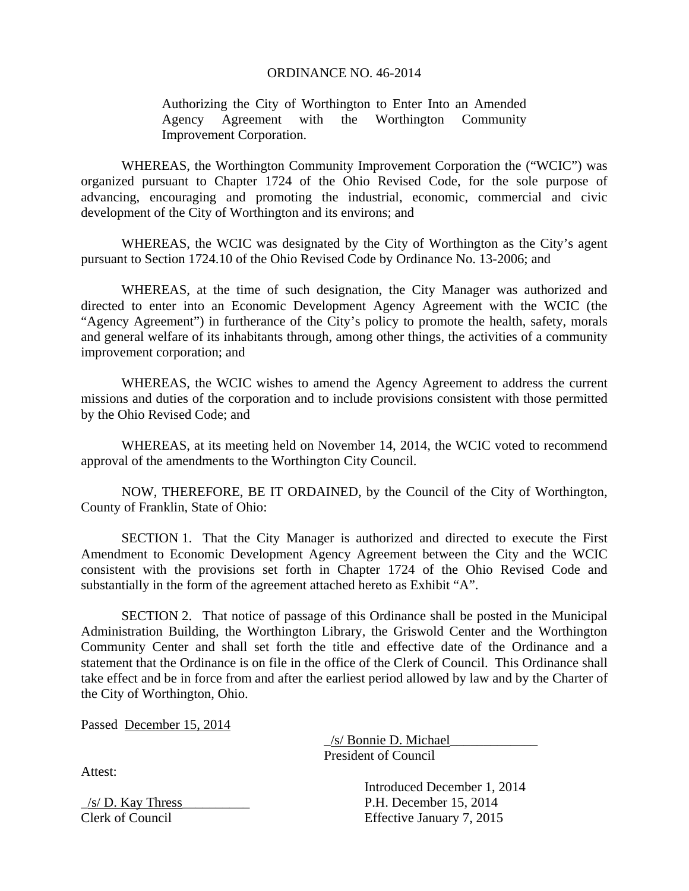## ORDINANCE NO. 46-2014

Authorizing the City of Worthington to Enter Into an Amended Agency Agreement with the Worthington Community Improvement Corporation.

 WHEREAS, the Worthington Community Improvement Corporation the ("WCIC") was organized pursuant to Chapter 1724 of the Ohio Revised Code, for the sole purpose of advancing, encouraging and promoting the industrial, economic, commercial and civic development of the City of Worthington and its environs; and

 WHEREAS, the WCIC was designated by the City of Worthington as the City's agent pursuant to Section 1724.10 of the Ohio Revised Code by Ordinance No. 13-2006; and

 WHEREAS, at the time of such designation, the City Manager was authorized and directed to enter into an Economic Development Agency Agreement with the WCIC (the "Agency Agreement") in furtherance of the City's policy to promote the health, safety, morals and general welfare of its inhabitants through, among other things, the activities of a community improvement corporation; and

 WHEREAS, the WCIC wishes to amend the Agency Agreement to address the current missions and duties of the corporation and to include provisions consistent with those permitted by the Ohio Revised Code; and

 WHEREAS, at its meeting held on November 14, 2014, the WCIC voted to recommend approval of the amendments to the Worthington City Council.

 NOW, THEREFORE, BE IT ORDAINED, by the Council of the City of Worthington, County of Franklin, State of Ohio:

 SECTION 1. That the City Manager is authorized and directed to execute the First Amendment to Economic Development Agency Agreement between the City and the WCIC consistent with the provisions set forth in Chapter 1724 of the Ohio Revised Code and substantially in the form of the agreement attached hereto as Exhibit "A".

 SECTION 2. That notice of passage of this Ordinance shall be posted in the Municipal Administration Building, the Worthington Library, the Griswold Center and the Worthington Community Center and shall set forth the title and effective date of the Ordinance and a statement that the Ordinance is on file in the office of the Clerk of Council. This Ordinance shall take effect and be in force from and after the earliest period allowed by law and by the Charter of the City of Worthington, Ohio.

Passed December 15, 2014

 $\angle$ /s/ Bonnie D. Michael President of Council

 Introduced December 1, 2014  $\angle$ s/ D. Kay Thress $\angle$ Clerk of Council Effective January 7, 2015

Attest: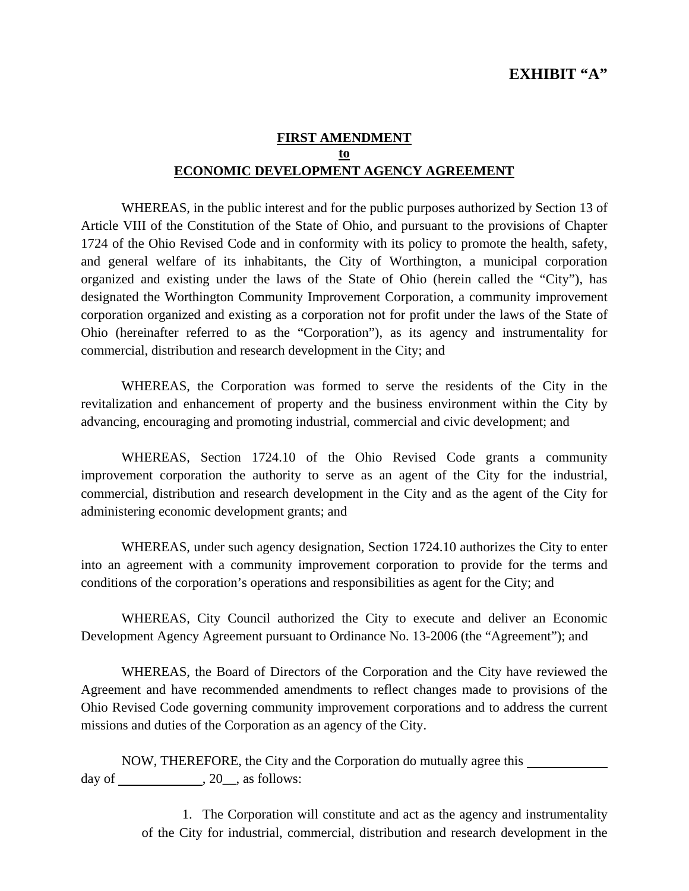## **FIRST AMENDMENT to ECONOMIC DEVELOPMENT AGENCY AGREEMENT**

WHEREAS, in the public interest and for the public purposes authorized by Section 13 of Article VIII of the Constitution of the State of Ohio, and pursuant to the provisions of Chapter 1724 of the Ohio Revised Code and in conformity with its policy to promote the health, safety, and general welfare of its inhabitants, the City of Worthington, a municipal corporation organized and existing under the laws of the State of Ohio (herein called the "City"), has designated the Worthington Community Improvement Corporation, a community improvement corporation organized and existing as a corporation not for profit under the laws of the State of Ohio (hereinafter referred to as the "Corporation"), as its agency and instrumentality for commercial, distribution and research development in the City; and

 WHEREAS, the Corporation was formed to serve the residents of the City in the revitalization and enhancement of property and the business environment within the City by advancing, encouraging and promoting industrial, commercial and civic development; and

 WHEREAS, Section 1724.10 of the Ohio Revised Code grants a community improvement corporation the authority to serve as an agent of the City for the industrial, commercial, distribution and research development in the City and as the agent of the City for administering economic development grants; and

 WHEREAS, under such agency designation, Section 1724.10 authorizes the City to enter into an agreement with a community improvement corporation to provide for the terms and conditions of the corporation's operations and responsibilities as agent for the City; and

 WHEREAS, City Council authorized the City to execute and deliver an Economic Development Agency Agreement pursuant to Ordinance No. 13-2006 (the "Agreement"); and

 WHEREAS, the Board of Directors of the Corporation and the City have reviewed the Agreement and have recommended amendments to reflect changes made to provisions of the Ohio Revised Code governing community improvement corporations and to address the current missions and duties of the Corporation as an agency of the City.

 NOW, THEREFORE, the City and the Corporation do mutually agree this day of  $\_\_\_\_\_$ , 20 $\_\_\_\$ , as follows:

> 1. The Corporation will constitute and act as the agency and instrumentality of the City for industrial, commercial, distribution and research development in the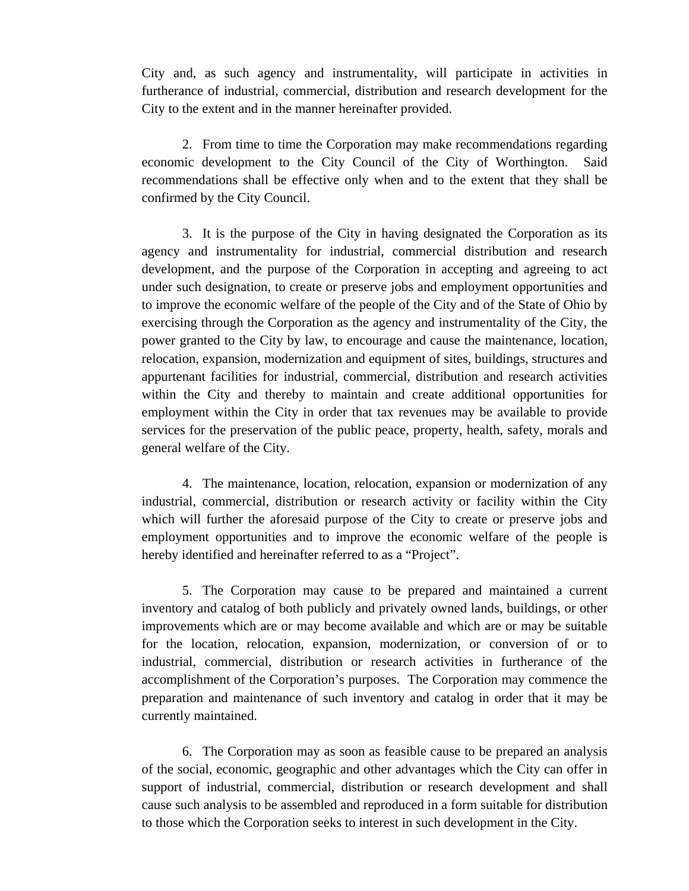City and, as such agency and instrumentality, will participate in activities in furtherance of industrial, commercial, distribution and research development for the City to the extent and in the manner hereinafter provided.

2. From time to time the Corporation may make recommendations regarding economic development to the City Council of the City of Worthington. Said recommendations shall be effective only when and to the extent that they shall be confirmed by the City Council.

3. It is the purpose of the City in having designated the Corporation as its agency and instrumentality for industrial, commercial distribution and research development, and the purpose of the Corporation in accepting and agreeing to act under such designation, to create or preserve jobs and employment opportunities and to improve the economic welfare of the people of the City and of the State of Ohio by exercising through the Corporation as the agency and instrumentality of the City, the power granted to the City by law, to encourage and cause the maintenance, location, relocation, expansion, modernization and equipment of sites, buildings, structures and appurtenant facilities for industrial, commercial, distribution and research activities within the City and thereby to maintain and create additional opportunities for employment within the City in order that tax revenues may be available to provide services for the preservation of the public peace, property, health, safety, morals and general welfare of the City.

4. The maintenance, location, relocation, expansion or modernization of any industrial, commercial, distribution or research activity or facility within the City which will further the aforesaid purpose of the City to create or preserve jobs and employment opportunities and to improve the economic welfare of the people is hereby identified and hereinafter referred to as a "Project".

5. The Corporation may cause to be prepared and maintained a current inventory and catalog of both publicly and privately owned lands, buildings, or other improvements which are or may become available and which are or may be suitable for the location, relocation, expansion, modernization, or conversion of or to industrial, commercial, distribution or research activities in furtherance of the accomplishment of the Corporation's purposes. The Corporation may commence the preparation and maintenance of such inventory and catalog in order that it may be currently maintained.

6. The Corporation may as soon as feasible cause to be prepared an analysis of the social, economic, geographic and other advantages which the City can offer in support of industrial, commercial, distribution or research development and shall cause such analysis to be assembled and reproduced in a form suitable for distribution to those which the Corporation seeks to interest in such development in the City.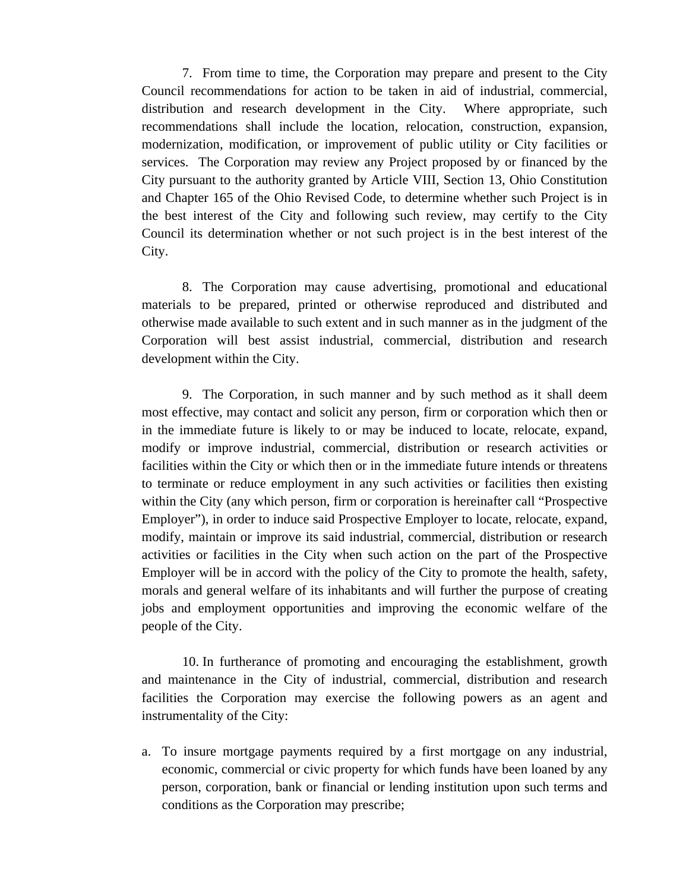7. From time to time, the Corporation may prepare and present to the City Council recommendations for action to be taken in aid of industrial, commercial, distribution and research development in the City. Where appropriate, such recommendations shall include the location, relocation, construction, expansion, modernization, modification, or improvement of public utility or City facilities or services. The Corporation may review any Project proposed by or financed by the City pursuant to the authority granted by Article VIII, Section 13, Ohio Constitution and Chapter 165 of the Ohio Revised Code, to determine whether such Project is in the best interest of the City and following such review, may certify to the City Council its determination whether or not such project is in the best interest of the City.

8. The Corporation may cause advertising, promotional and educational materials to be prepared, printed or otherwise reproduced and distributed and otherwise made available to such extent and in such manner as in the judgment of the Corporation will best assist industrial, commercial, distribution and research development within the City.

9. The Corporation, in such manner and by such method as it shall deem most effective, may contact and solicit any person, firm or corporation which then or in the immediate future is likely to or may be induced to locate, relocate, expand, modify or improve industrial, commercial, distribution or research activities or facilities within the City or which then or in the immediate future intends or threatens to terminate or reduce employment in any such activities or facilities then existing within the City (any which person, firm or corporation is hereinafter call "Prospective Employer"), in order to induce said Prospective Employer to locate, relocate, expand, modify, maintain or improve its said industrial, commercial, distribution or research activities or facilities in the City when such action on the part of the Prospective Employer will be in accord with the policy of the City to promote the health, safety, morals and general welfare of its inhabitants and will further the purpose of creating jobs and employment opportunities and improving the economic welfare of the people of the City.

10. In furtherance of promoting and encouraging the establishment, growth and maintenance in the City of industrial, commercial, distribution and research facilities the Corporation may exercise the following powers as an agent and instrumentality of the City:

a. To insure mortgage payments required by a first mortgage on any industrial, economic, commercial or civic property for which funds have been loaned by any person, corporation, bank or financial or lending institution upon such terms and conditions as the Corporation may prescribe;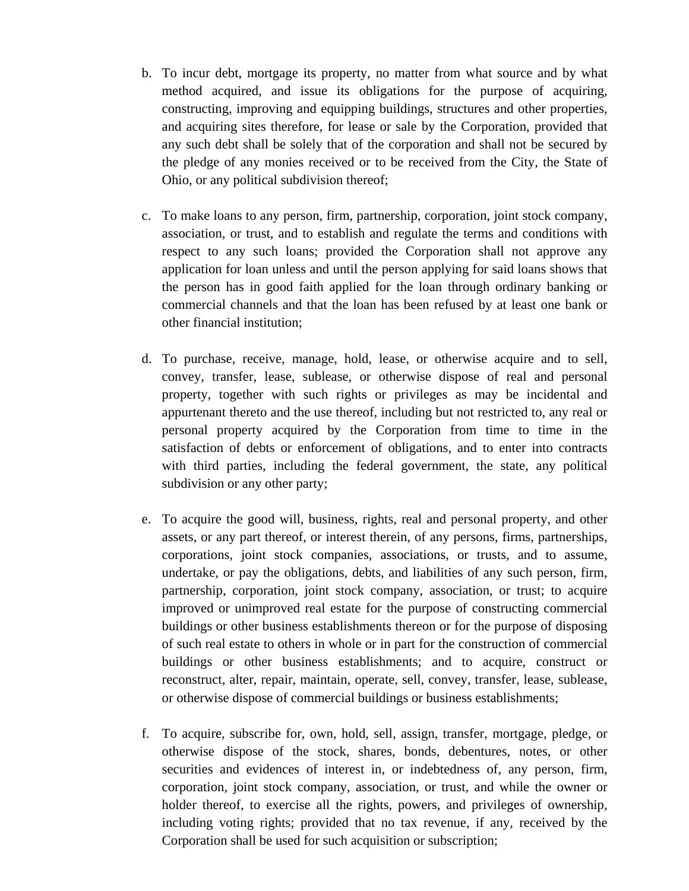- b. To incur debt, mortgage its property, no matter from what source and by what method acquired, and issue its obligations for the purpose of acquiring, constructing, improving and equipping buildings, structures and other properties, and acquiring sites therefore, for lease or sale by the Corporation, provided that any such debt shall be solely that of the corporation and shall not be secured by the pledge of any monies received or to be received from the City, the State of Ohio, or any political subdivision thereof;
- c. To make loans to any person, firm, partnership, corporation, joint stock company, association, or trust, and to establish and regulate the terms and conditions with respect to any such loans; provided the Corporation shall not approve any application for loan unless and until the person applying for said loans shows that the person has in good faith applied for the loan through ordinary banking or commercial channels and that the loan has been refused by at least one bank or other financial institution;
- d. To purchase, receive, manage, hold, lease, or otherwise acquire and to sell, convey, transfer, lease, sublease, or otherwise dispose of real and personal property, together with such rights or privileges as may be incidental and appurtenant thereto and the use thereof, including but not restricted to, any real or personal property acquired by the Corporation from time to time in the satisfaction of debts or enforcement of obligations, and to enter into contracts with third parties, including the federal government, the state, any political subdivision or any other party;
- e. To acquire the good will, business, rights, real and personal property, and other assets, or any part thereof, or interest therein, of any persons, firms, partnerships, corporations, joint stock companies, associations, or trusts, and to assume, undertake, or pay the obligations, debts, and liabilities of any such person, firm, partnership, corporation, joint stock company, association, or trust; to acquire improved or unimproved real estate for the purpose of constructing commercial buildings or other business establishments thereon or for the purpose of disposing of such real estate to others in whole or in part for the construction of commercial buildings or other business establishments; and to acquire, construct or reconstruct, alter, repair, maintain, operate, sell, convey, transfer, lease, sublease, or otherwise dispose of commercial buildings or business establishments;
- f. To acquire, subscribe for, own, hold, sell, assign, transfer, mortgage, pledge, or otherwise dispose of the stock, shares, bonds, debentures, notes, or other securities and evidences of interest in, or indebtedness of, any person, firm, corporation, joint stock company, association, or trust, and while the owner or holder thereof, to exercise all the rights, powers, and privileges of ownership, including voting rights; provided that no tax revenue, if any, received by the Corporation shall be used for such acquisition or subscription;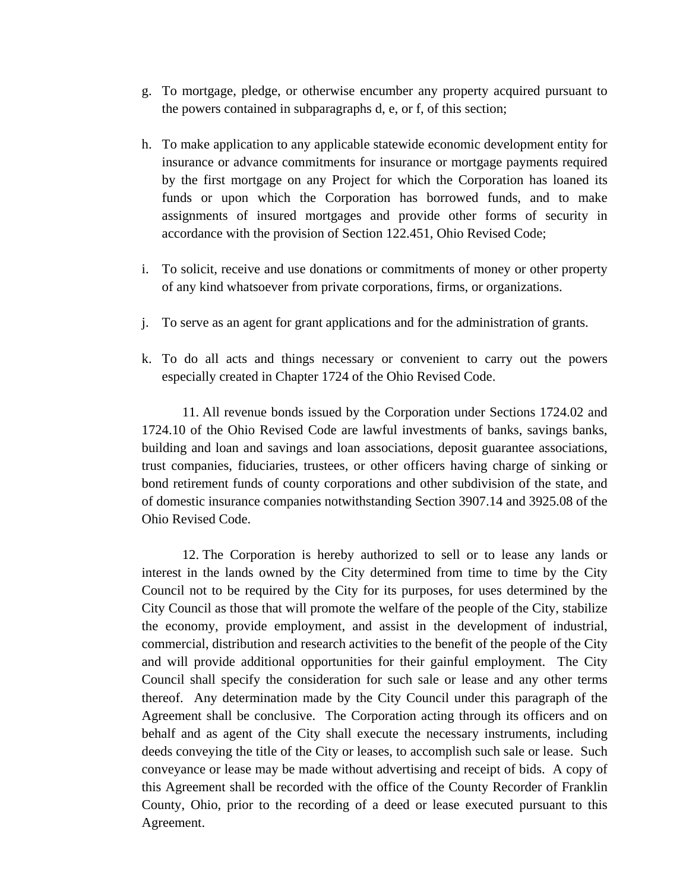- g. To mortgage, pledge, or otherwise encumber any property acquired pursuant to the powers contained in subparagraphs d, e, or f, of this section;
- h. To make application to any applicable statewide economic development entity for insurance or advance commitments for insurance or mortgage payments required by the first mortgage on any Project for which the Corporation has loaned its funds or upon which the Corporation has borrowed funds, and to make assignments of insured mortgages and provide other forms of security in accordance with the provision of Section 122.451, Ohio Revised Code;
- i. To solicit, receive and use donations or commitments of money or other property of any kind whatsoever from private corporations, firms, or organizations.
- j. To serve as an agent for grant applications and for the administration of grants.
- k. To do all acts and things necessary or convenient to carry out the powers especially created in Chapter 1724 of the Ohio Revised Code.

11. All revenue bonds issued by the Corporation under Sections 1724.02 and 1724.10 of the Ohio Revised Code are lawful investments of banks, savings banks, building and loan and savings and loan associations, deposit guarantee associations, trust companies, fiduciaries, trustees, or other officers having charge of sinking or bond retirement funds of county corporations and other subdivision of the state, and of domestic insurance companies notwithstanding Section 3907.14 and 3925.08 of the Ohio Revised Code.

12. The Corporation is hereby authorized to sell or to lease any lands or interest in the lands owned by the City determined from time to time by the City Council not to be required by the City for its purposes, for uses determined by the City Council as those that will promote the welfare of the people of the City, stabilize the economy, provide employment, and assist in the development of industrial, commercial, distribution and research activities to the benefit of the people of the City and will provide additional opportunities for their gainful employment. The City Council shall specify the consideration for such sale or lease and any other terms thereof. Any determination made by the City Council under this paragraph of the Agreement shall be conclusive. The Corporation acting through its officers and on behalf and as agent of the City shall execute the necessary instruments, including deeds conveying the title of the City or leases, to accomplish such sale or lease. Such conveyance or lease may be made without advertising and receipt of bids. A copy of this Agreement shall be recorded with the office of the County Recorder of Franklin County, Ohio, prior to the recording of a deed or lease executed pursuant to this Agreement.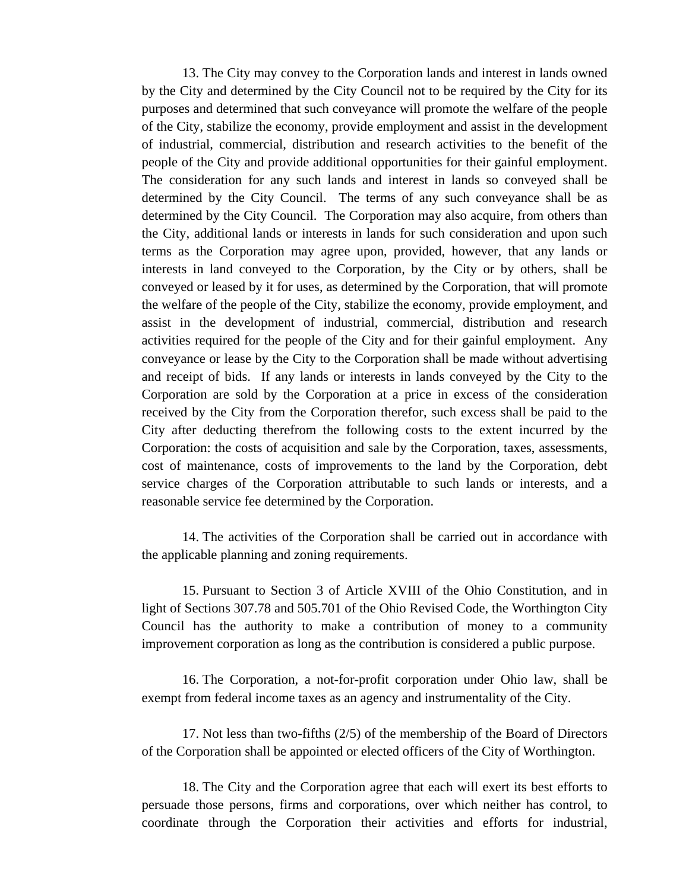13. The City may convey to the Corporation lands and interest in lands owned by the City and determined by the City Council not to be required by the City for its purposes and determined that such conveyance will promote the welfare of the people of the City, stabilize the economy, provide employment and assist in the development of industrial, commercial, distribution and research activities to the benefit of the people of the City and provide additional opportunities for their gainful employment. The consideration for any such lands and interest in lands so conveyed shall be determined by the City Council. The terms of any such conveyance shall be as determined by the City Council. The Corporation may also acquire, from others than the City, additional lands or interests in lands for such consideration and upon such terms as the Corporation may agree upon, provided, however, that any lands or interests in land conveyed to the Corporation, by the City or by others, shall be conveyed or leased by it for uses, as determined by the Corporation, that will promote the welfare of the people of the City, stabilize the economy, provide employment, and assist in the development of industrial, commercial, distribution and research activities required for the people of the City and for their gainful employment. Any conveyance or lease by the City to the Corporation shall be made without advertising and receipt of bids. If any lands or interests in lands conveyed by the City to the Corporation are sold by the Corporation at a price in excess of the consideration received by the City from the Corporation therefor, such excess shall be paid to the City after deducting therefrom the following costs to the extent incurred by the Corporation: the costs of acquisition and sale by the Corporation, taxes, assessments, cost of maintenance, costs of improvements to the land by the Corporation, debt service charges of the Corporation attributable to such lands or interests, and a reasonable service fee determined by the Corporation.

14. The activities of the Corporation shall be carried out in accordance with the applicable planning and zoning requirements.

15. Pursuant to Section 3 of Article XVIII of the Ohio Constitution, and in light of Sections 307.78 and 505.701 of the Ohio Revised Code, the Worthington City Council has the authority to make a contribution of money to a community improvement corporation as long as the contribution is considered a public purpose.

16. The Corporation, a not-for-profit corporation under Ohio law, shall be exempt from federal income taxes as an agency and instrumentality of the City.

17. Not less than two-fifths (2/5) of the membership of the Board of Directors of the Corporation shall be appointed or elected officers of the City of Worthington.

18. The City and the Corporation agree that each will exert its best efforts to persuade those persons, firms and corporations, over which neither has control, to coordinate through the Corporation their activities and efforts for industrial,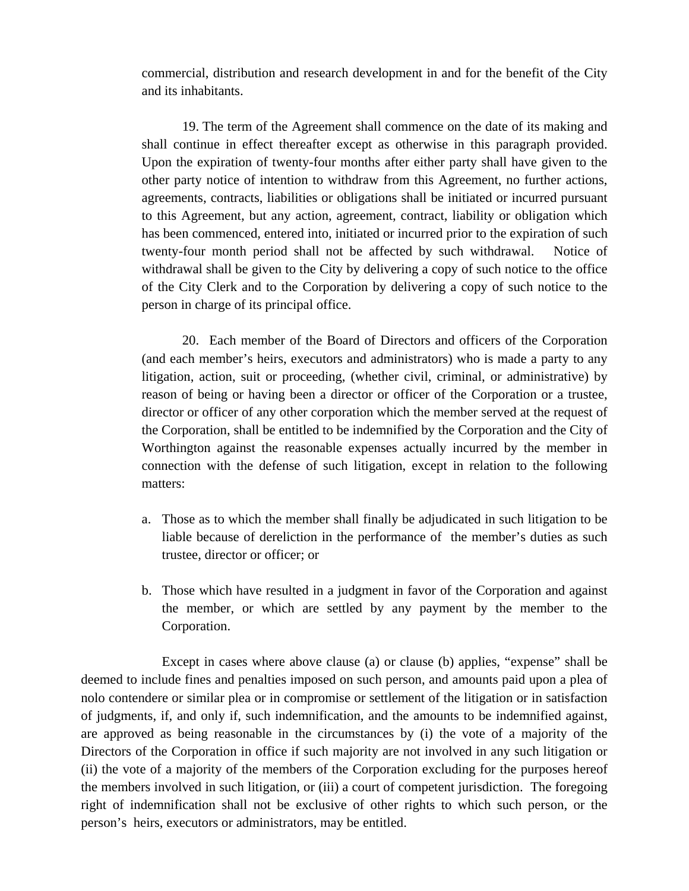commercial, distribution and research development in and for the benefit of the City and its inhabitants.

19. The term of the Agreement shall commence on the date of its making and shall continue in effect thereafter except as otherwise in this paragraph provided. Upon the expiration of twenty-four months after either party shall have given to the other party notice of intention to withdraw from this Agreement, no further actions, agreements, contracts, liabilities or obligations shall be initiated or incurred pursuant to this Agreement, but any action, agreement, contract, liability or obligation which has been commenced, entered into, initiated or incurred prior to the expiration of such twenty-four month period shall not be affected by such withdrawal. Notice of withdrawal shall be given to the City by delivering a copy of such notice to the office of the City Clerk and to the Corporation by delivering a copy of such notice to the person in charge of its principal office.

20. Each member of the Board of Directors and officers of the Corporation (and each member's heirs, executors and administrators) who is made a party to any litigation, action, suit or proceeding, (whether civil, criminal, or administrative) by reason of being or having been a director or officer of the Corporation or a trustee, director or officer of any other corporation which the member served at the request of the Corporation, shall be entitled to be indemnified by the Corporation and the City of Worthington against the reasonable expenses actually incurred by the member in connection with the defense of such litigation, except in relation to the following matters:

- a. Those as to which the member shall finally be adjudicated in such litigation to be liable because of dereliction in the performance of the member's duties as such trustee, director or officer; or
- b. Those which have resulted in a judgment in favor of the Corporation and against the member, or which are settled by any payment by the member to the Corporation.

Except in cases where above clause (a) or clause (b) applies, "expense" shall be deemed to include fines and penalties imposed on such person, and amounts paid upon a plea of nolo contendere or similar plea or in compromise or settlement of the litigation or in satisfaction of judgments, if, and only if, such indemnification, and the amounts to be indemnified against, are approved as being reasonable in the circumstances by (i) the vote of a majority of the Directors of the Corporation in office if such majority are not involved in any such litigation or (ii) the vote of a majority of the members of the Corporation excluding for the purposes hereof the members involved in such litigation, or (iii) a court of competent jurisdiction. The foregoing right of indemnification shall not be exclusive of other rights to which such person, or the person's heirs, executors or administrators, may be entitled.